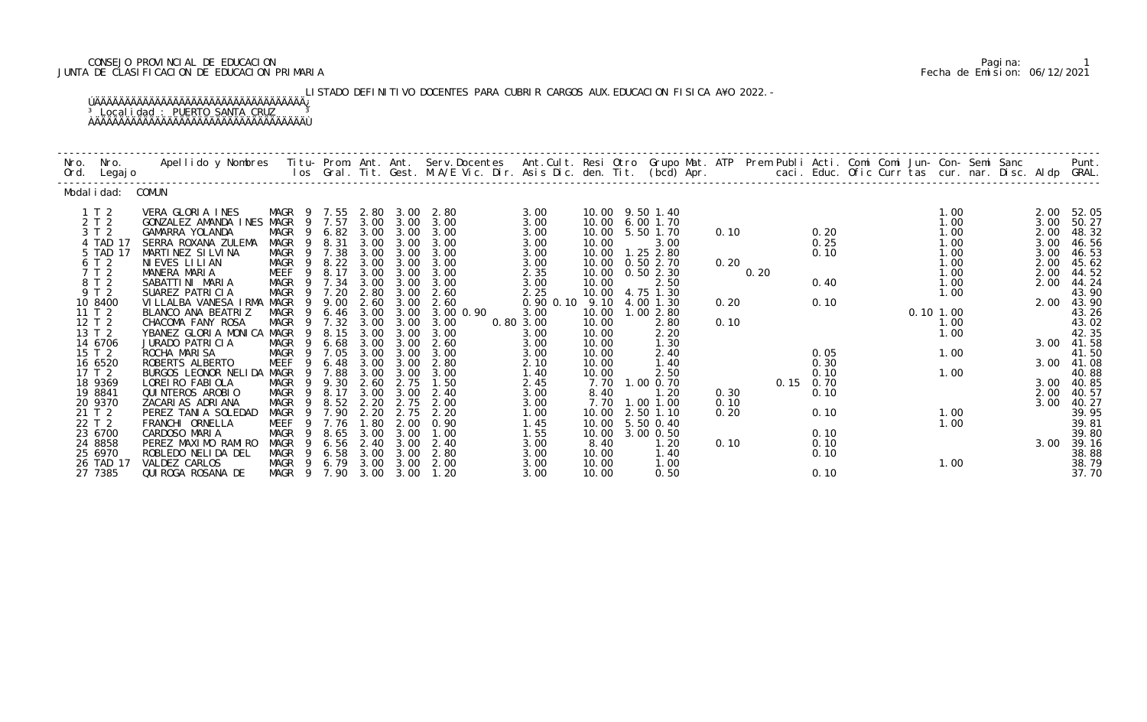## CONSEJO PROVINCIAL DE EDUCACION Pagina: 1 JUNTA DE CLASIFICACION DE EDUCACION PRIMARIA Fecha de Emision: 06/12/2021

 LISTADO DEFINITIVO DOCENTES PARA CUBRIR CARGOS AUX.EDUCACION FISICA A¥O 2022.- ÚÄÄÄÄÄÄÄÄÄÄÄÄÄÄÄÄÄÄÄÄÄÄÄÄÄÄÄÄÄÄÄÄÄÄÄ¿ <sup>3</sup> Localidad : PUERTO SANTA CRUZ <sup>3</sup> ÀÄÄÄÄÄÄÄÄÄÄÄÄÄÄÄÄÄÄÄÄÄÄÄÄÄÄÄÄÄÄÄÄÄÄÄÙ

| Nro. Nro.<br>Ord. Legajo | Apellido y Nombres  Titu- Prom. Ant. Ant. Serv.Docentes  Ant.Cult. Resi Otro Grupo Mat. ATP Prem Publi Acti. Comi Comi Jun- Con- Semi Sanc         Punt.<br>Ios Gral. Tit. Gest. M.A/E Vic. Dir. Asis Dic. den. Tit. (bcd) Apr. |                           |              |              |              |                   |                       |                |                       |      |      |      |              |          |              |  |              |                |
|--------------------------|---------------------------------------------------------------------------------------------------------------------------------------------------------------------------------------------------------------------------------|---------------------------|--------------|--------------|--------------|-------------------|-----------------------|----------------|-----------------------|------|------|------|--------------|----------|--------------|--|--------------|----------------|
| Modal i dad: COMUN       |                                                                                                                                                                                                                                 |                           |              |              |              |                   |                       |                |                       |      |      |      |              |          |              |  |              |                |
| 1 T 2                    | VERA GLORIA INES                                                                                                                                                                                                                | MAGR 9 7.55               |              | 2.80         | 3.00         | 2.80              | 3.00                  |                | 10.00 9.50 1.40       |      |      |      |              |          | 1.00         |  | 2.00         | 52.05          |
| 2 T 2                    | GONZALEZ AMANDA INES MAGR                                                                                                                                                                                                       | 9                         | 9 7.57       | 3.00         | 3.00         | 3.00              | 3.00                  | 10.00          | 6.001.70              |      |      |      |              |          | 1.00         |  | 3.00         | 50.27          |
| 3 T 2<br>4 TAD 17        | GAMARRA YOLANDA<br>SERRA ROXANA ZULEMA                                                                                                                                                                                          | MAGR<br>MAGR<br>9         | 6.82<br>8.31 | 3.00<br>3.00 | 3.00<br>3.00 | 3.00<br>3.00      | 3.00<br>3.00          | 10.00<br>10.00 | 5.50 1.70<br>3.00     | 0.10 |      |      | 0.20<br>0.25 |          | 1.00<br>1.00 |  | 2.00<br>3.00 | 48.32<br>46.56 |
| 5 TAD 17                 | MARTINEZ SILVINA                                                                                                                                                                                                                | MAGR<br>- 9               | 7.38         | 3.00         | 3.00         | 3.00              | 3.00                  | 10.00          | $1.25$ 2.80           |      |      |      | 0.10         |          | 1.00         |  | 3.00         | 46.53          |
| 6 T 2                    | NIEVES LILIAN                                                                                                                                                                                                                   | MAGR<br>9                 | 8.22         | 3.00         | 3.00         | 3.00              | 3.00                  | 10.00          | 0.502.70              | 0.20 |      |      |              |          | 1.00         |  | 2.00         | 45.62          |
| 7 T 2                    | MANERA MARIA                                                                                                                                                                                                                    | 9<br>MEEF                 | 8.17         | 3.00         | 3.00         | 3.00              | 2.35                  | 10.00          | 0.50 2.30             |      | 0.20 |      |              |          | 1.00         |  | 2.00         | 44.52          |
| 8 T 2                    | SABATTINI MARIA                                                                                                                                                                                                                 | MAGR                      | 7.34         | 3.00         | 3.00         | 3.00              | 3.00                  | 10.00          | 2.50                  |      |      |      | 0.40         |          | 1.00         |  | 2.00         | 44.24          |
| 9 T 2                    | SUAREZ PATRICIA                                                                                                                                                                                                                 | MAGR<br>9                 | 7.20         | 2.80         | 3.00         | 2.60              | 2.25                  | 10.00          | 4.75 1.30             |      |      |      |              |          | 1.00         |  |              | 43.90          |
| 10 8400<br>11 T 2        | VILLALBA VANESA IRMA<br>BLANCO ANA BEATRIZ                                                                                                                                                                                      | MAGR<br>9<br>MAGR<br>-9   | 9.00<br>6.46 | 2.60<br>3.00 | 3.00<br>3.00 | 2.60<br>3.00 0.90 | $0.90$ $0.10$<br>3.00 | 9.10<br>10.00  | 4.00 1.30<br>1.002.80 | 0.20 |      |      | 0.10         | 0.101.00 |              |  | 2.00         | 43.90<br>43.26 |
| 12 T 2                   | CHACOMA FANY ROSA                                                                                                                                                                                                               | MAGR                      | 7.32         | 3.00         | 3.00         | 3.00              | 0.80 3.00             | 10.00          | 2.80                  | 0.10 |      |      |              |          | 1.00         |  |              | 43.02          |
| 13 T 2                   | YBANEZ GLORIA MONICA MAGR                                                                                                                                                                                                       | 9                         | 8.15         | 3.00         | 3.00         | 3.00              | 3.00                  | 10.00          | 2.20                  |      |      |      |              |          | 1.00         |  |              | 42.35          |
| 14 6706                  | JURADO PATRICIA                                                                                                                                                                                                                 | MAGR<br>9                 | 6.68         | 3.00         | 3.00         | 2.60              | 3.00                  | 10.00          | 1.30                  |      |      |      |              |          |              |  | 3.00         | 41.58          |
| 15 T 2                   | ROCHA MARISA                                                                                                                                                                                                                    | MAGR<br>9                 | 7.05         | 3.00         | 3.00         | 3.00              | 3.00                  | 10.00          | 2.40                  |      |      |      | 0.05         |          | 1.00         |  |              | 41.50          |
| 16 6520                  | ROBERTS ALBERTO                                                                                                                                                                                                                 | MEEF<br>9                 | 6.48         | 3.00         | 3.00         | 2.80              | 2.10                  | 10.00          | 1.40                  |      |      |      | 0.30         |          |              |  | 3.00         | 41.08          |
| 17 T 2<br>18 9369        | BURGOS LEONOR NELIDA<br>LOREI RO FABI OLA                                                                                                                                                                                       | MAGR<br>-9<br>MAGR<br>- 9 | 7.88<br>9.30 | 3.00<br>2.60 | 3.00<br>2.75 | 3.00<br>1.50      | 1.40<br>2.45          | 10.00<br>7.70  | 2.50<br>1.00 0.70     |      |      | 0.15 | 0.10<br>0.70 |          | 1.00         |  | 3.00         | 40.88<br>40.85 |
| 19 8841                  | QUI NTEROS AROBIO                                                                                                                                                                                                               | MAGR<br>9                 | 8.17         | 3.00         | 3.00         | 2.40              | 3.00                  | 8.40           | 1.20                  | 0.30 |      |      | 0.10         |          |              |  | 2.00         | 40.57          |
| 20 9370                  | ZACARIAS ADRIANA                                                                                                                                                                                                                | 9<br>MAGR                 | 8.52         | 2.20         | 2.75         | 2.00              | 3.00                  | 7.70           | 1.00 1.00             | 0.10 |      |      |              |          |              |  | 3.00         | 40.27          |
| 21 T 2                   | PEREZ TANIA SOLEDAD                                                                                                                                                                                                             | MAGR                      | 7.90         | 2.20         | 2.75         | 2.20              | 1.00                  | 10.00          | 2.50 1.10             | 0.20 |      |      | 0.10         |          | 1.00         |  |              | 39.95          |
| 22 T 2                   | FRANCHI ORNELLA                                                                                                                                                                                                                 | MEEF<br>-9                | 7.76         | 1.80         | 2.00         | 0.90              | 1.45                  | 10.00          | 5.50 0.40             |      |      |      |              |          | 1.00         |  |              | 39.81          |
| 23 6700                  | CARDOSO MARIA                                                                                                                                                                                                                   | MAGR<br>- 9               | 8.65         | 3.00         | 3.00         | 1.00              | 1.55                  | 10.00          | 3.00 0.50             |      |      |      | 0.10         |          |              |  |              | 39.80          |
| 24 8858                  | PEREZ MAXIMO RAMIRO                                                                                                                                                                                                             | MAGR<br>9<br>9            | 6.56         | 2.40         | 3.00         | 2.40              | 3.00                  | 8.40           | 1.20                  | 0.10 |      |      | 0.10         |          |              |  | 3.00         | 39.16          |
| 25 6970<br>26 TAD 17     | ROBLEDO NELIDA DEL<br>VALDEZ CARLOS                                                                                                                                                                                             | MAGR<br>MAGR 9 6.79       | 6.58         | 3.00<br>3.00 | 3.00<br>3.00 | 2.80<br>2.00      | 3.00<br>3.00          | 10.00<br>10.00 | 1.40<br>1.00          |      |      |      | 0.10         |          | 1.00         |  |              | 38.88<br>38.79 |
| 27 7385                  | QUI ROGA ROSANA DE                                                                                                                                                                                                              | MAGR 9 7.90               |              | 3.00         | 3.00         | 1.20              | 3.00                  | 10.00          | 0.50                  |      |      |      | 0.10         |          |              |  |              | 37.70          |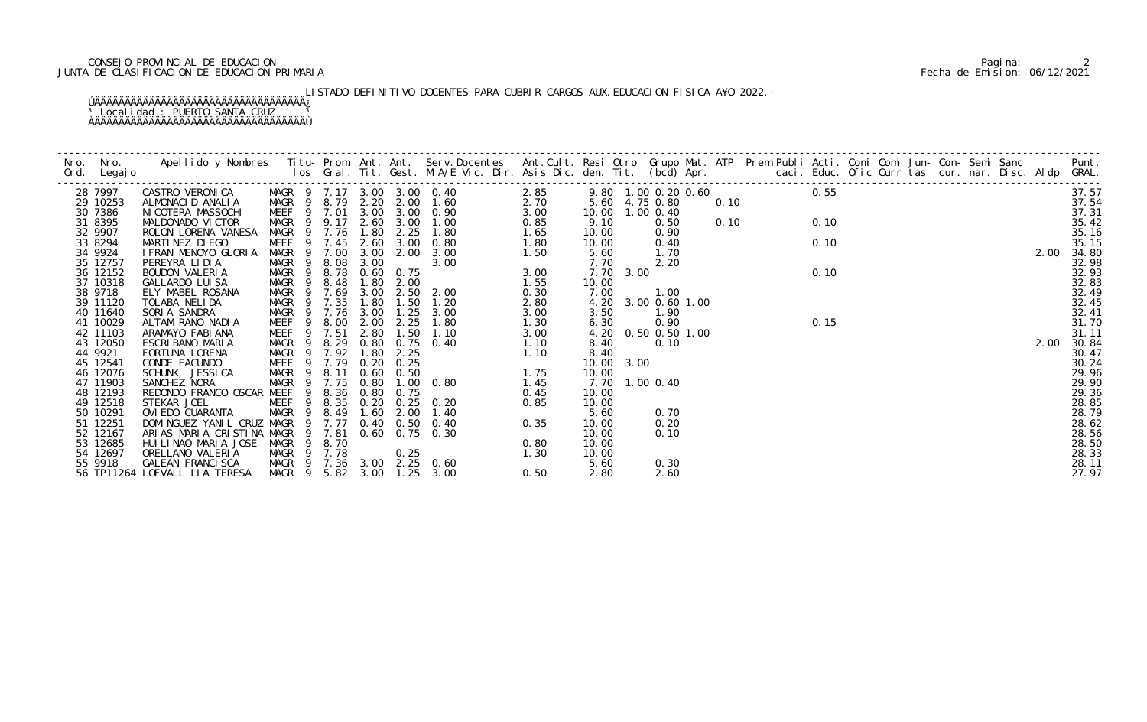## CONSEJO PROVINCIAL DE EDUCACION Pagina: 2 JUNTA DE CLASIFICACION DE EDUCACION PRIMARIA Fecha de Emision: 06/12/2021

 LISTADO DEFINITIVO DOCENTES PARA CUBRIR CARGOS AUX.EDUCACION FISICA A¥O 2022.- ÚÄÄÄÄÄÄÄÄÄÄÄÄÄÄÄÄÄÄÄÄÄÄÄÄÄÄÄÄÄÄÄÄÄÄÄ¿ <sup>3</sup> Localidad : PUERTO SANTA CRUZ <sup>3</sup>

ÀÄÄÄÄÄÄÄÄÄÄÄÄÄÄÄÄÄÄÄÄÄÄÄÄÄÄÄÄÄÄÄÄÄÄÄÙ

| 28 7997<br>29 10253<br>30 7386<br>31 8395<br>32 9907<br>33 8294 | Apellido y Nombres Titu- Prom. Ant. Ant. Serv.Docentes Ant.Cult. Resi Otro Grupo Mat. ATP Prem Publi Acti. Comi Comi Jun- Con- Semi Sanc Punt.<br>Ios Gral. Tit. Gest. M.A/E Vic. Dir. Asis Dic. den. Tit. (bcd) Apr. |                  |  |                                                                                                            |      |                |      |  |  |  |  |  |      |                |
|-----------------------------------------------------------------|-----------------------------------------------------------------------------------------------------------------------------------------------------------------------------------------------------------------------|------------------|--|------------------------------------------------------------------------------------------------------------|------|----------------|------|--|--|--|--|--|------|----------------|
|                                                                 |                                                                                                                                                                                                                       |                  |  |                                                                                                            |      |                |      |  |  |  |  |  |      | 37.57          |
|                                                                 |                                                                                                                                                                                                                       |                  |  |                                                                                                            |      |                |      |  |  |  |  |  |      | 37.54          |
|                                                                 |                                                                                                                                                                                                                       |                  |  |                                                                                                            |      |                |      |  |  |  |  |  |      | 37.31          |
|                                                                 |                                                                                                                                                                                                                       |                  |  |                                                                                                            |      |                |      |  |  |  |  |  |      | 35.42          |
|                                                                 |                                                                                                                                                                                                                       |                  |  |                                                                                                            |      |                |      |  |  |  |  |  |      | 35.16          |
|                                                                 |                                                                                                                                                                                                                       |                  |  |                                                                                                            |      |                |      |  |  |  |  |  |      | 35.15          |
| 34 9924                                                         |                                                                                                                                                                                                                       |                  |  |                                                                                                            |      |                |      |  |  |  |  |  |      | 2.00 34.80     |
| 35 12757                                                        |                                                                                                                                                                                                                       |                  |  |                                                                                                            |      |                |      |  |  |  |  |  |      | 32.98          |
| 36 12152<br>37 10318                                            |                                                                                                                                                                                                                       |                  |  |                                                                                                            |      |                |      |  |  |  |  |  |      | 32.93<br>32.83 |
| 38 9718                                                         |                                                                                                                                                                                                                       |                  |  |                                                                                                            |      |                |      |  |  |  |  |  |      | 32.49          |
| 39 11120                                                        |                                                                                                                                                                                                                       |                  |  |                                                                                                            |      |                |      |  |  |  |  |  |      | 32.45          |
| 40 11640                                                        |                                                                                                                                                                                                                       |                  |  |                                                                                                            |      |                |      |  |  |  |  |  |      | 32.41          |
| 41 10029                                                        |                                                                                                                                                                                                                       |                  |  |                                                                                                            |      |                |      |  |  |  |  |  |      | 31.70          |
| 42 11103                                                        |                                                                                                                                                                                                                       |                  |  |                                                                                                            |      |                |      |  |  |  |  |  |      | 31.11          |
| 43 12050                                                        |                                                                                                                                                                                                                       |                  |  |                                                                                                            |      |                |      |  |  |  |  |  | 2.00 | 30.84          |
| 44 9921                                                         | FORTUNA LORENA                                                                                                                                                                                                        | MAGR 9 7.92 1.80 |  |                                                                                                            |      | 8.40           |      |  |  |  |  |  |      | 30.47          |
| 45 12541                                                        | CONDE FACUNDO                                                                                                                                                                                                         | MEEF 9 7.79      |  | MAGR 9 7.92 1.80 2.25<br>MEEF 9 7.79 0.20 0.25<br>MAGR 9 8.11 0.60 0.50<br>MAGR 9 7.75 0.80 1.00 0.80 1.45 |      | 10.00 3.00     |      |  |  |  |  |  |      | 30.24          |
| 46 12076                                                        | SCHUNK, JESSI CA                                                                                                                                                                                                      |                  |  |                                                                                                            |      | 10.00          |      |  |  |  |  |  |      | 29.96          |
| 47 11903                                                        | SANCHEZ NORA                                                                                                                                                                                                          |                  |  |                                                                                                            |      | 7.70 1.00 0.40 |      |  |  |  |  |  |      | 29.90          |
| 48 12193                                                        | REDONDO FRANCO OSCAR MEEF 9 8.36 0.80 0.75                                                                                                                                                                            |                  |  |                                                                                                            | 0.45 | 10.00          |      |  |  |  |  |  |      | 29.36          |
| 49 12518                                                        |                                                                                                                                                                                                                       |                  |  |                                                                                                            |      | 10.00          |      |  |  |  |  |  |      | 28.85          |
| 50 10291                                                        |                                                                                                                                                                                                                       |                  |  |                                                                                                            |      | 5.60           | 0.70 |  |  |  |  |  |      | 28.79          |
| 51 12251                                                        |                                                                                                                                                                                                                       |                  |  |                                                                                                            |      |                | 0.20 |  |  |  |  |  |      | 28.62          |
| 52 12167                                                        |                                                                                                                                                                                                                       |                  |  |                                                                                                            |      | 10.00          | 0.10 |  |  |  |  |  |      | 28.56          |
| 53 12685                                                        |                                                                                                                                                                                                                       |                  |  |                                                                                                            |      | 10.00          |      |  |  |  |  |  |      | 28.50          |
| 54 12697                                                        |                                                                                                                                                                                                                       |                  |  |                                                                                                            |      | 10.00          |      |  |  |  |  |  |      | 28.33          |
| 55 9918                                                         |                                                                                                                                                                                                                       |                  |  |                                                                                                            |      | 5.60           | 0.30 |  |  |  |  |  |      | 28.11          |
|                                                                 | 56 TP11264 LOFVALL LIA TERESA                                                                                                                                                                                         |                  |  |                                                                                                            |      |                | 2.60 |  |  |  |  |  |      | 27.97          |